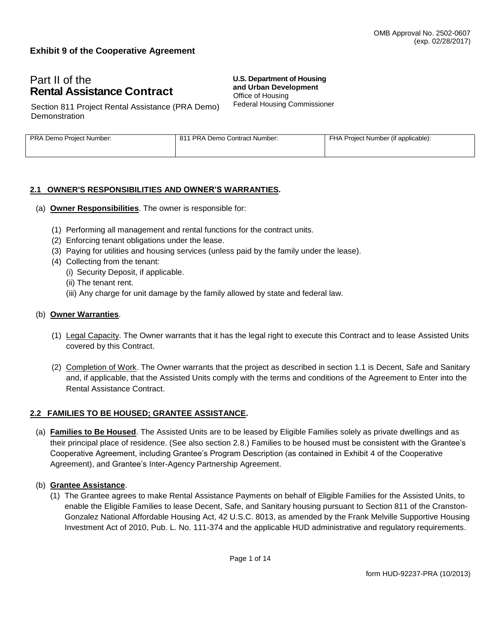### **Exhibit 9 of the Cooperative Agreement**

# Part II of the **Rental Assistance Contract**

**U.S. Department of Housing and Urban Development** Office of Housing Federal Housing Commissioner

Section 811 Project Rental Assistance (PRA Demo) **Demonstration** 

| PRA Demo Project Number: | 811 PRA Demo Contract Number: | FHA Project Number (if applicable): |
|--------------------------|-------------------------------|-------------------------------------|
|                          |                               |                                     |

#### **2.1 OWNER'S RESPONSIBILITIES AND OWNER'S WARRANTIES.**

- (a) **Owner Responsibilities**. The owner is responsible for:
	- (1) Performing all management and rental functions for the contract units.
	- (2) Enforcing tenant obligations under the lease.
	- (3) Paying for utilities and housing services (unless paid by the family under the lease).
	- (4) Collecting from the tenant:
		- (i) Security Deposit, if applicable.
		- (ii) The tenant rent.
		- (iii) Any charge for unit damage by the family allowed by state and federal law.

#### (b) **Owner Warranties**.

- (1) Legal Capacity. The Owner warrants that it has the legal right to execute this Contract and to lease Assisted Units covered by this Contract.
- (2) Completion of Work. The Owner warrants that the project as described in section 1.1 is Decent, Safe and Sanitary and, if applicable, that the Assisted Units comply with the terms and conditions of the Agreement to Enter into the Rental Assistance Contract.

#### **2.2 FAMILIES TO BE HOUSED; GRANTEE ASSISTANCE.**

(a) **Families to Be Housed**. The Assisted Units are to be leased by Eligible Families solely as private dwellings and as their principal place of residence. (See also section 2.8.) Families to be housed must be consistent with the Grantee's Cooperative Agreement, including Grantee's Program Description (as contained in Exhibit 4 of the Cooperative Agreement), and Grantee's Inter-Agency Partnership Agreement.

#### (b) **Grantee Assistance**.

(1) The Grantee agrees to make Rental Assistance Payments on behalf of Eligible Families for the Assisted Units, to enable the Eligible Families to lease Decent, Safe, and Sanitary housing pursuant to Section 811 of the Cranston-Gonzalez National Affordable Housing Act, 42 U.S.C. 8013, as amended by the Frank Melville Supportive Housing Investment Act of 2010, Pub. L. No. 111-374 and the applicable HUD administrative and regulatory requirements.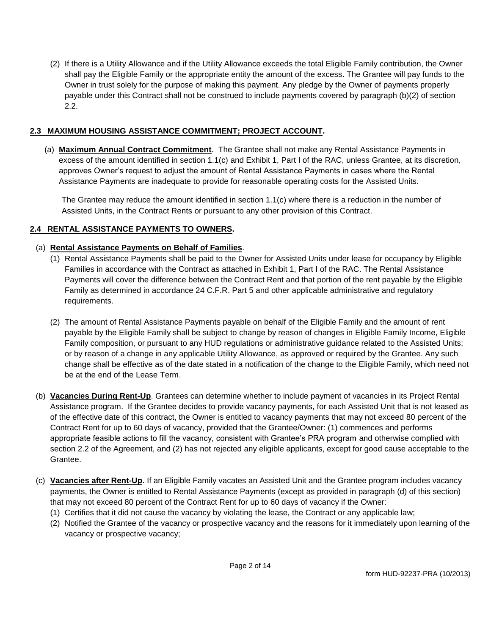(2) If there is a Utility Allowance and if the Utility Allowance exceeds the total Eligible Family contribution, the Owner shall pay the Eligible Family or the appropriate entity the amount of the excess. The Grantee will pay funds to the Owner in trust solely for the purpose of making this payment. Any pledge by the Owner of payments properly payable under this Contract shall not be construed to include payments covered by paragraph (b)(2) of section 2.2.

#### **2.3 MAXIMUM HOUSING ASSISTANCE COMMITMENT; PROJECT ACCOUNT.**

(a) **Maximum Annual Contract Commitment**. The Grantee shall not make any Rental Assistance Payments in excess of the amount identified in section 1.1(c) and Exhibit 1, Part I of the RAC, unless Grantee, at its discretion, approves Owner's request to adjust the amount of Rental Assistance Payments in cases where the Rental Assistance Payments are inadequate to provide for reasonable operating costs for the Assisted Units.

The Grantee may reduce the amount identified in section 1.1(c) where there is a reduction in the number of Assisted Units, in the Contract Rents or pursuant to any other provision of this Contract.

#### **2.4 RENTAL ASSISTANCE PAYMENTS TO OWNERS.**

#### (a) **Rental Assistance Payments on Behalf of Families**.

- (1) Rental Assistance Payments shall be paid to the Owner for Assisted Units under lease for occupancy by Eligible Families in accordance with the Contract as attached in Exhibit 1, Part I of the RAC. The Rental Assistance Payments will cover the difference between the Contract Rent and that portion of the rent payable by the Eligible Family as determined in accordance 24 C.F.R. Part 5 and other applicable administrative and regulatory requirements.
- (2) The amount of Rental Assistance Payments payable on behalf of the Eligible Family and the amount of rent payable by the Eligible Family shall be subject to change by reason of changes in Eligible Family Income, Eligible Family composition, or pursuant to any HUD regulations or administrative guidance related to the Assisted Units; or by reason of a change in any applicable Utility Allowance, as approved or required by the Grantee. Any such change shall be effective as of the date stated in a notification of the change to the Eligible Family, which need not be at the end of the Lease Term.
- (b) **Vacancies During Rent-Up**. Grantees can determine whether to include payment of vacancies in its Project Rental Assistance program. If the Grantee decides to provide vacancy payments, for each Assisted Unit that is not leased as of the effective date of this contract, the Owner is entitled to vacancy payments that may not exceed 80 percent of the Contract Rent for up to 60 days of vacancy, provided that the Grantee/Owner: (1) commences and performs appropriate feasible actions to fill the vacancy, consistent with Grantee's PRA program and otherwise complied with section 2.2 of the Agreement, and (2) has not rejected any eligible applicants, except for good cause acceptable to the Grantee.
- (c) **Vacancies after Rent-Up**. If an Eligible Family vacates an Assisted Unit and the Grantee program includes vacancy payments, the Owner is entitled to Rental Assistance Payments (except as provided in paragraph (d) of this section) that may not exceed 80 percent of the Contract Rent for up to 60 days of vacancy if the Owner:
	- (1) Certifies that it did not cause the vacancy by violating the lease, the Contract or any applicable law;
	- (2) Notified the Grantee of the vacancy or prospective vacancy and the reasons for it immediately upon learning of the vacancy or prospective vacancy;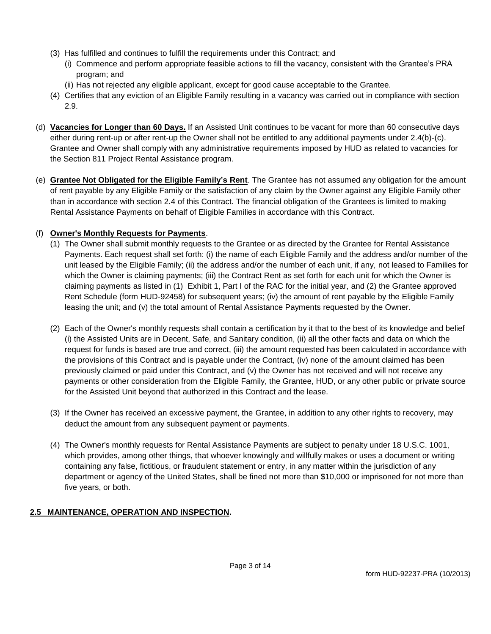- (3) Has fulfilled and continues to fulfill the requirements under this Contract; and
	- (i) Commence and perform appropriate feasible actions to fill the vacancy, consistent with the Grantee's PRA program; and
	- (ii) Has not rejected any eligible applicant, except for good cause acceptable to the Grantee.
- (4) Certifies that any eviction of an Eligible Family resulting in a vacancy was carried out in compliance with section 2.9.
- (d) **Vacancies for Longer than 60 Days.** If an Assisted Unit continues to be vacant for more than 60 consecutive days either during rent-up or after rent-up the Owner shall not be entitled to any additional payments under 2.4(b)-(c). Grantee and Owner shall comply with any administrative requirements imposed by HUD as related to vacancies for the Section 811 Project Rental Assistance program.
- (e) **Grantee Not Obligated for the Eligible Family's Rent**. The Grantee has not assumed any obligation for the amount of rent payable by any Eligible Family or the satisfaction of any claim by the Owner against any Eligible Family other than in accordance with section 2.4 of this Contract. The financial obligation of the Grantees is limited to making Rental Assistance Payments on behalf of Eligible Families in accordance with this Contract.

### (f) **Owner's Monthly Requests for Payments**.

- (1) The Owner shall submit monthly requests to the Grantee or as directed by the Grantee for Rental Assistance Payments. Each request shall set forth: (i) the name of each Eligible Family and the address and/or number of the unit leased by the Eligible Family; (ii) the address and/or the number of each unit, if any, not leased to Families for which the Owner is claiming payments; (iii) the Contract Rent as set forth for each unit for which the Owner is claiming payments as listed in (1) Exhibit 1, Part I of the RAC for the initial year, and (2) the Grantee approved Rent Schedule (form HUD-92458) for subsequent years; (iv) the amount of rent payable by the Eligible Family leasing the unit; and (v) the total amount of Rental Assistance Payments requested by the Owner.
- (2) Each of the Owner's monthly requests shall contain a certification by it that to the best of its knowledge and belief (i) the Assisted Units are in Decent, Safe, and Sanitary condition, (ii) all the other facts and data on which the request for funds is based are true and correct, (iii) the amount requested has been calculated in accordance with the provisions of this Contract and is payable under the Contract, (iv) none of the amount claimed has been previously claimed or paid under this Contract, and (v) the Owner has not received and will not receive any payments or other consideration from the Eligible Family, the Grantee, HUD, or any other public or private source for the Assisted Unit beyond that authorized in this Contract and the lease.
- (3) If the Owner has received an excessive payment, the Grantee, in addition to any other rights to recovery, may deduct the amount from any subsequent payment or payments.
- (4) The Owner's monthly requests for Rental Assistance Payments are subject to penalty under 18 U.S.C. 1001, which provides, among other things, that whoever knowingly and willfully makes or uses a document or writing containing any false, fictitious, or fraudulent statement or entry, in any matter within the jurisdiction of any department or agency of the United States, shall be fined not more than \$10,000 or imprisoned for not more than five years, or both.

## **2.5 MAINTENANCE, OPERATION AND INSPECTION.**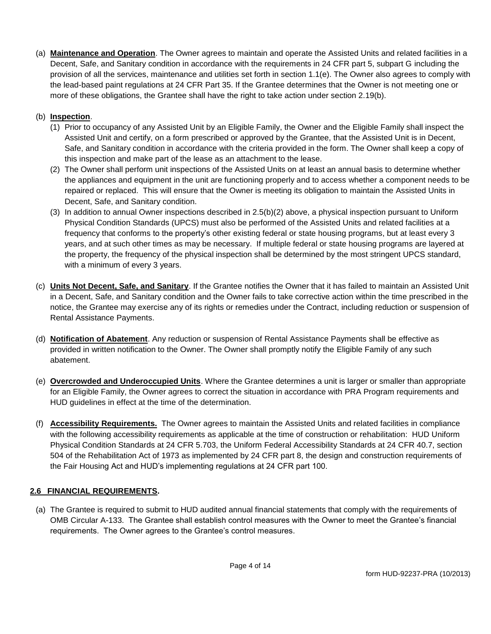(a) **Maintenance and Operation**. The Owner agrees to maintain and operate the Assisted Units and related facilities in a Decent, Safe, and Sanitary condition in accordance with the requirements in 24 CFR part 5, subpart G including the provision of all the services, maintenance and utilities set forth in section 1.1(e). The Owner also agrees to comply with the lead-based paint regulations at 24 CFR Part 35. If the Grantee determines that the Owner is not meeting one or more of these obligations, the Grantee shall have the right to take action under section 2.19(b).

## (b) **Inspection**.

- (1) Prior to occupancy of any Assisted Unit by an Eligible Family, the Owner and the Eligible Family shall inspect the Assisted Unit and certify, on a form prescribed or approved by the Grantee, that the Assisted Unit is in Decent, Safe, and Sanitary condition in accordance with the criteria provided in the form. The Owner shall keep a copy of this inspection and make part of the lease as an attachment to the lease.
- (2) The Owner shall perform unit inspections of the Assisted Units on at least an annual basis to determine whether the appliances and equipment in the unit are functioning properly and to access whether a component needs to be repaired or replaced. This will ensure that the Owner is meeting its obligation to maintain the Assisted Units in Decent, Safe, and Sanitary condition.
- (3) In addition to annual Owner inspections described in 2.5(b)(2) above, a physical inspection pursuant to Uniform Physical Condition Standards (UPCS) must also be performed of the Assisted Units and related facilities at a frequency that conforms to the property's other existing federal or state housing programs, but at least every 3 years, and at such other times as may be necessary. If multiple federal or state housing programs are layered at the property, the frequency of the physical inspection shall be determined by the most stringent UPCS standard, with a minimum of every 3 years.
- (c) **Units Not Decent, Safe, and Sanitary**. If the Grantee notifies the Owner that it has failed to maintain an Assisted Unit in a Decent, Safe, and Sanitary condition and the Owner fails to take corrective action within the time prescribed in the notice, the Grantee may exercise any of its rights or remedies under the Contract, including reduction or suspension of Rental Assistance Payments.
- (d) **Notification of Abatement**. Any reduction or suspension of Rental Assistance Payments shall be effective as provided in written notification to the Owner. The Owner shall promptly notify the Eligible Family of any such abatement.
- (e) **Overcrowded and Underoccupied Units**. Where the Grantee determines a unit is larger or smaller than appropriate for an Eligible Family, the Owner agrees to correct the situation in accordance with PRA Program requirements and HUD guidelines in effect at the time of the determination.
- (f) **Accessibility Requirements.** The Owner agrees to maintain the Assisted Units and related facilities in compliance with the following accessibility requirements as applicable at the time of construction or rehabilitation: HUD Uniform Physical Condition Standards at 24 CFR 5.703, the Uniform Federal Accessibility Standards at 24 CFR 40.7, section 504 of the Rehabilitation Act of 1973 as implemented by 24 CFR part 8, the design and construction requirements of the Fair Housing Act and HUD's implementing regulations at 24 CFR part 100.

## **2.6 FINANCIAL REQUIREMENTS.**

(a) The Grantee is required to submit to HUD audited annual financial statements that comply with the requirements of OMB Circular A-133. The Grantee shall establish control measures with the Owner to meet the Grantee's financial requirements. The Owner agrees to the Grantee's control measures.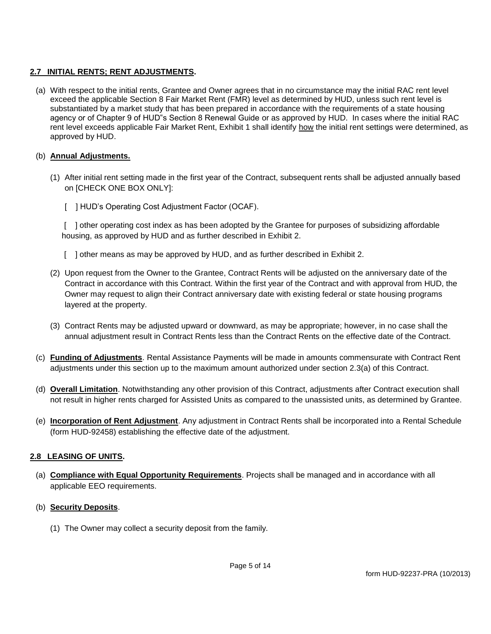#### **2.7 INITIAL RENTS; RENT ADJUSTMENTS.**

(a) With respect to the initial rents, Grantee and Owner agrees that in no circumstance may the initial RAC rent level exceed the applicable Section 8 Fair Market Rent (FMR) level as determined by HUD, unless such rent level is substantiated by a market study that has been prepared in accordance with the requirements of a state housing agency or of Chapter 9 of HUD"s Section 8 Renewal Guide or as approved by HUD. In cases where the initial RAC rent level exceeds applicable Fair Market Rent, Exhibit 1 shall identify how the initial rent settings were determined, as approved by HUD.

#### (b) **Annual Adjustments.**

- (1) After initial rent setting made in the first year of the Contract, subsequent rents shall be adjusted annually based on [CHECK ONE BOX ONLY]:
	- [ ] HUD's Operating Cost Adjustment Factor (OCAF).

[ ] other operating cost index as has been adopted by the Grantee for purposes of subsidizing affordable housing, as approved by HUD and as further described in Exhibit 2.

- [ ] other means as may be approved by HUD, and as further described in Exhibit 2.
- (2) Upon request from the Owner to the Grantee, Contract Rents will be adjusted on the anniversary date of the Contract in accordance with this Contract. Within the first year of the Contract and with approval from HUD, the Owner may request to align their Contract anniversary date with existing federal or state housing programs layered at the property.
- (3) Contract Rents may be adjusted upward or downward, as may be appropriate; however, in no case shall the annual adjustment result in Contract Rents less than the Contract Rents on the effective date of the Contract.
- (c) **Funding of Adjustments**. Rental Assistance Payments will be made in amounts commensurate with Contract Rent adjustments under this section up to the maximum amount authorized under section 2.3(a) of this Contract.
- (d) **Overall Limitation**. Notwithstanding any other provision of this Contract, adjustments after Contract execution shall not result in higher rents charged for Assisted Units as compared to the unassisted units, as determined by Grantee.
- (e) **Incorporation of Rent Adjustment**. Any adjustment in Contract Rents shall be incorporated into a Rental Schedule (form HUD-92458) establishing the effective date of the adjustment.

#### **2.8 LEASING OF UNITS.**

- (a) **Compliance with Equal Opportunity Requirements**. Projects shall be managed and in accordance with all applicable EEO requirements.
- (b) **Security Deposits**.
	- (1) The Owner may collect a security deposit from the family.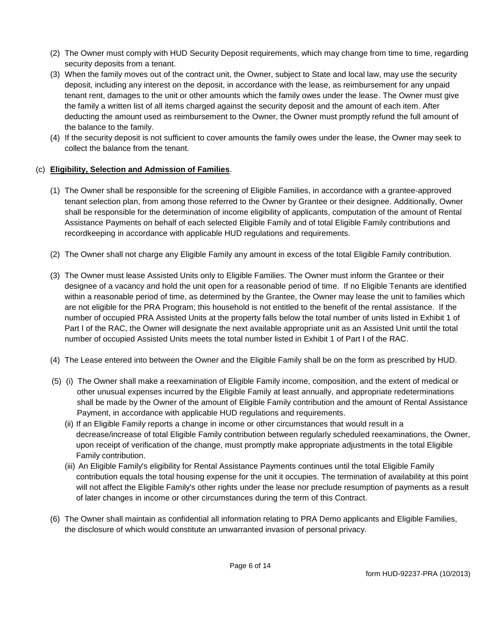- (2) The Owner must comply with HUD Security Deposit requirements, which may change from time to time, regarding security deposits from a tenant.
- (3) When the family moves out of the contract unit, the Owner, subject to State and local law, may use the security deposit, including any interest on the deposit, in accordance with the lease, as reimbursement for any unpaid tenant rent, damages to the unit or other amounts which the family owes under the lease. The Owner must give the family a written list of all items charged against the security deposit and the amount of each item. After deducting the amount used as reimbursement to the Owner, the Owner must promptly refund the full amount of the balance to the family.
- (4) If the security deposit is not sufficient to cover amounts the family owes under the lease, the Owner may seek to collect the balance from the tenant.

### (c) **Eligibility, Selection and Admission of Families**.

- (1) The Owner shall be responsible for the screening of Eligible Families, in accordance with a grantee-approved tenant selection plan, from among those referred to the Owner by Grantee or their designee. Additionally, Owner shall be responsible for the determination of income eligibility of applicants, computation of the amount of Rental Assistance Payments on behalf of each selected Eligible Family and of total Eligible Family contributions and recordkeeping in accordance with applicable HUD regulations and requirements.
- (2) The Owner shall not charge any Eligible Family any amount in excess of the total Eligible Family contribution.
- (3) The Owner must lease Assisted Units only to Eligible Families. The Owner must inform the Grantee or their designee of a vacancy and hold the unit open for a reasonable period of time. If no Eligible Tenants are identified within a reasonable period of time, as determined by the Grantee, the Owner may lease the unit to families which are not eligible for the PRA Program; this household is not entitled to the benefit of the rental assistance. If the number of occupied PRA Assisted Units at the property falls below the total number of units listed in Exhibit 1 of Part I of the RAC, the Owner will designate the next available appropriate unit as an Assisted Unit until the total number of occupied Assisted Units meets the total number listed in Exhibit 1 of Part I of the RAC.
- (4) The Lease entered into between the Owner and the Eligible Family shall be on the form as prescribed by HUD.
- (5) (i) The Owner shall make a reexamination of Eligible Family income, composition, and the extent of medical or other unusual expenses incurred by the Eligible Family at least annually, and appropriate redeterminations shall be made by the Owner of the amount of Eligible Family contribution and the amount of Rental Assistance Payment, in accordance with applicable HUD regulations and requirements.
	- (ii) If an Eligible Family reports a change in income or other circumstances that would result in a decrease/increase of total Eligible Family contribution between regularly scheduled reexaminations, the Owner, upon receipt of verification of the change, must promptly make appropriate adjustments in the total Eligible Family contribution.
	- (iii) An Eligible Family's eligibility for Rental Assistance Payments continues until the total Eligible Family contribution equals the total housing expense for the unit it occupies. The termination of availability at this point will not affect the Eligible Family's other rights under the lease nor preclude resumption of payments as a result of later changes in income or other circumstances during the term of this Contract.
- (6) The Owner shall maintain as confidential all information relating to PRA Demo applicants and Eligible Families, the disclosure of which would constitute an unwarranted invasion of personal privacy.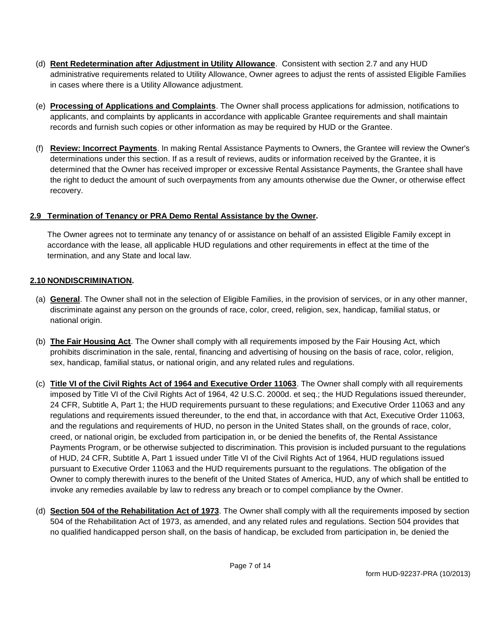- (d) **Rent Redetermination after Adjustment in Utility Allowance**. Consistent with section 2.7 and any HUD administrative requirements related to Utility Allowance, Owner agrees to adjust the rents of assisted Eligible Families in cases where there is a Utility Allowance adjustment.
- (e) **Processing of Applications and Complaints**. The Owner shall process applications for admission, notifications to applicants, and complaints by applicants in accordance with applicable Grantee requirements and shall maintain records and furnish such copies or other information as may be required by HUD or the Grantee.
- (f) **Review: Incorrect Payments**. In making Rental Assistance Payments to Owners, the Grantee will review the Owner's determinations under this section. If as a result of reviews, audits or information received by the Grantee, it is determined that the Owner has received improper or excessive Rental Assistance Payments, the Grantee shall have the right to deduct the amount of such overpayments from any amounts otherwise due the Owner, or otherwise effect recovery.

### **2.9 Termination of Tenancy or PRA Demo Rental Assistance by the Owner.**

The Owner agrees not to terminate any tenancy of or assistance on behalf of an assisted Eligible Family except in accordance with the lease, all applicable HUD regulations and other requirements in effect at the time of the termination, and any State and local law.

## **2.10 NONDISCRIMINATION.**

- (a) **General**. The Owner shall not in the selection of Eligible Families, in the provision of services, or in any other manner, discriminate against any person on the grounds of race, color, creed, religion, sex, handicap, familial status, or national origin.
- (b) **The Fair Housing Act**. The Owner shall comply with all requirements imposed by the Fair Housing Act, which prohibits discrimination in the sale, rental, financing and advertising of housing on the basis of race, color, religion, sex, handicap, familial status, or national origin, and any related rules and regulations.
- (c) **Title VI of the Civil Rights Act of 1964 and Executive Order 11063**. The Owner shall comply with all requirements imposed by Title VI of the Civil Rights Act of 1964, 42 U.S.C. 2000d. et seq.; the HUD Regulations issued thereunder, 24 CFR, Subtitle A, Part 1; the HUD requirements pursuant to these regulations; and Executive Order 11063 and any regulations and requirements issued thereunder, to the end that, in accordance with that Act, Executive Order 11063, and the regulations and requirements of HUD, no person in the United States shall, on the grounds of race, color, creed, or national origin, be excluded from participation in, or be denied the benefits of, the Rental Assistance Payments Program, or be otherwise subjected to discrimination. This provision is included pursuant to the regulations of HUD, 24 CFR, Subtitle A, Part 1 issued under Title VI of the Civil Rights Act of 1964, HUD regulations issued pursuant to Executive Order 11063 and the HUD requirements pursuant to the regulations. The obligation of the Owner to comply therewith inures to the benefit of the United States of America, HUD, any of which shall be entitled to invoke any remedies available by law to redress any breach or to compel compliance by the Owner.
- (d) **Section 504 of the Rehabilitation Act of 1973**. The Owner shall comply with all the requirements imposed by section 504 of the Rehabilitation Act of 1973, as amended, and any related rules and regulations. Section 504 provides that no qualified handicapped person shall, on the basis of handicap, be excluded from participation in, be denied the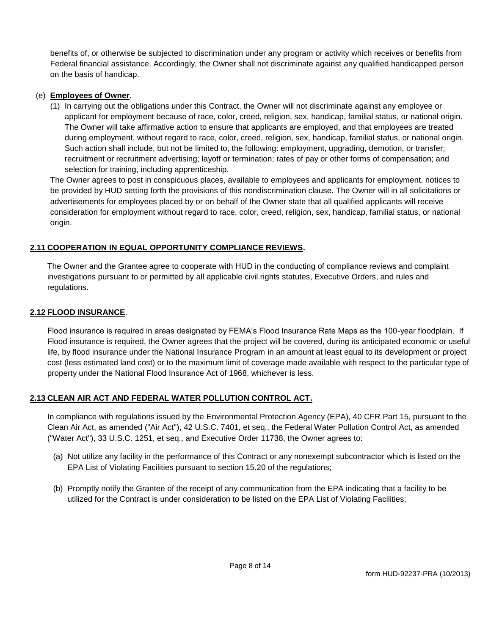benefits of, or otherwise be subjected to discrimination under any program or activity which receives or benefits from Federal financial assistance. Accordingly, the Owner shall not discriminate against any qualified handicapped person on the basis of handicap.

#### (e) **Employees of Owner**.

(1) In carrying out the obligations under this Contract, the Owner will not discriminate against any employee or applicant for employment because of race, color, creed, religion, sex, handicap, familial status, or national origin. The Owner will take affirmative action to ensure that applicants are employed, and that employees are treated during employment, without regard to race, color, creed, religion, sex, handicap, familial status, or national origin. Such action shall include, but not be limited to, the following: employment, upgrading, demotion, or transfer; recruitment or recruitment advertising; layoff or termination; rates of pay or other forms of compensation; and selection for training, including apprenticeship.

The Owner agrees to post in conspicuous places, available to employees and applicants for employment, notices to be provided by HUD setting forth the provisions of this nondiscrimination clause. The Owner will in all solicitations or advertisements for employees placed by or on behalf of the Owner state that all qualified applicants will receive consideration for employment without regard to race, color, creed, religion, sex, handicap, familial status, or national origin.

### **2.11 COOPERATION IN EQUAL OPPORTUNITY COMPLIANCE REVIEWS.**

The Owner and the Grantee agree to cooperate with HUD in the conducting of compliance reviews and complaint investigations pursuant to or permitted by all applicable civil rights statutes, Executive Orders, and rules and regulations.

#### **2.12 FLOOD INSURANCE**.

Flood insurance is required in areas designated by FEMA's Flood Insurance Rate Maps as the 100-year floodplain. If Flood insurance is required, the Owner agrees that the project will be covered, during its anticipated economic or useful life, by flood insurance under the National Insurance Program in an amount at least equal to its development or project cost (less estimated land cost) or to the maximum limit of coverage made available with respect to the particular type of property under the National Flood Insurance Act of 1968, whichever is less.

### **2.13 CLEAN AIR ACT AND FEDERAL WATER POLLUTION CONTROL ACT.**

In compliance with regulations issued by the Environmental Protection Agency (EPA), 40 CFR Part 15, pursuant to the Clean Air Act, as amended ("Air Act"), 42 U.S.C. 7401, et seq., the Federal Water Pollution Control Act, as amended ("Water Act"), 33 U.S.C. 1251, et seq., and Executive Order 11738, the Owner agrees to:

- (a) Not utilize any facility in the performance of this Contract or any nonexempt subcontractor which is listed on the EPA List of Violating Facilities pursuant to section 15.20 of the regulations;
- (b) Promptly notify the Grantee of the receipt of any communication from the EPA indicating that a facility to be utilized for the Contract is under consideration to be listed on the EPA List of Violating Facilities;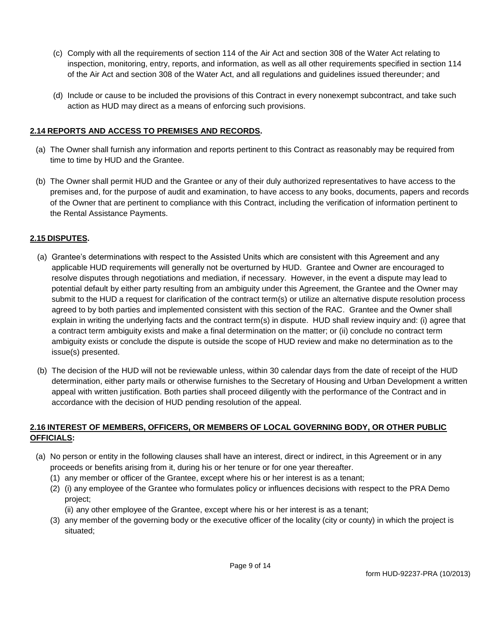- (c) Comply with all the requirements of section 114 of the Air Act and section 308 of the Water Act relating to inspection, monitoring, entry, reports, and information, as well as all other requirements specified in section 114 of the Air Act and section 308 of the Water Act, and all regulations and guidelines issued thereunder; and
- (d) Include or cause to be included the provisions of this Contract in every nonexempt subcontract, and take such action as HUD may direct as a means of enforcing such provisions.

#### **2.14 REPORTS AND ACCESS TO PREMISES AND RECORDS.**

- (a) The Owner shall furnish any information and reports pertinent to this Contract as reasonably may be required from time to time by HUD and the Grantee.
- (b) The Owner shall permit HUD and the Grantee or any of their duly authorized representatives to have access to the premises and, for the purpose of audit and examination, to have access to any books, documents, papers and records of the Owner that are pertinent to compliance with this Contract, including the verification of information pertinent to the Rental Assistance Payments.

### **2.15 DISPUTES.**

- (a) Grantee's determinations with respect to the Assisted Units which are consistent with this Agreement and any applicable HUD requirements will generally not be overturned by HUD. Grantee and Owner are encouraged to resolve disputes through negotiations and mediation, if necessary. However, in the event a dispute may lead to potential default by either party resulting from an ambiguity under this Agreement, the Grantee and the Owner may submit to the HUD a request for clarification of the contract term(s) or utilize an alternative dispute resolution process agreed to by both parties and implemented consistent with this section of the RAC. Grantee and the Owner shall explain in writing the underlying facts and the contract term(s) in dispute. HUD shall review inquiry and: (i) agree that a contract term ambiguity exists and make a final determination on the matter; or (ii) conclude no contract term ambiguity exists or conclude the dispute is outside the scope of HUD review and make no determination as to the issue(s) presented.
- (b) The decision of the HUD will not be reviewable unless, within 30 calendar days from the date of receipt of the HUD determination, either party mails or otherwise furnishes to the Secretary of Housing and Urban Development a written appeal with written justification. Both parties shall proceed diligently with the performance of the Contract and in accordance with the decision of HUD pending resolution of the appeal.

#### **2.16 INTEREST OF MEMBERS, OFFICERS, OR MEMBERS OF LOCAL GOVERNING BODY, OR OTHER PUBLIC OFFICIALS:**

- (a) No person or entity in the following clauses shall have an interest, direct or indirect, in this Agreement or in any proceeds or benefits arising from it, during his or her tenure or for one year thereafter.
	- (1) any member or officer of the Grantee, except where his or her interest is as a tenant;
	- (2) (i) any employee of the Grantee who formulates policy or influences decisions with respect to the PRA Demo project;
		- (ii) any other employee of the Grantee, except where his or her interest is as a tenant;
	- (3) any member of the governing body or the executive officer of the locality (city or county) in which the project is situated;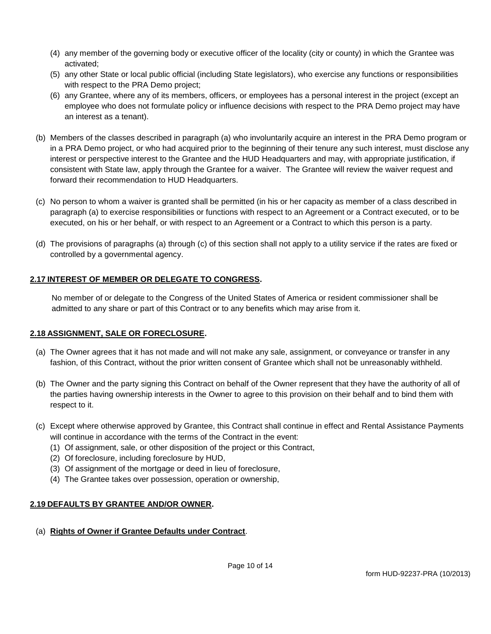- (4) any member of the governing body or executive officer of the locality (city or county) in which the Grantee was activated;
- (5) any other State or local public official (including State legislators), who exercise any functions or responsibilities with respect to the PRA Demo project;
- (6) any Grantee, where any of its members, officers, or employees has a personal interest in the project (except an employee who does not formulate policy or influence decisions with respect to the PRA Demo project may have an interest as a tenant).
- (b) Members of the classes described in paragraph (a) who involuntarily acquire an interest in the PRA Demo program or in a PRA Demo project, or who had acquired prior to the beginning of their tenure any such interest, must disclose any interest or perspective interest to the Grantee and the HUD Headquarters and may, with appropriate justification, if consistent with State law, apply through the Grantee for a waiver. The Grantee will review the waiver request and forward their recommendation to HUD Headquarters.
- (c) No person to whom a waiver is granted shall be permitted (in his or her capacity as member of a class described in paragraph (a) to exercise responsibilities or functions with respect to an Agreement or a Contract executed, or to be executed, on his or her behalf, or with respect to an Agreement or a Contract to which this person is a party.
- (d) The provisions of paragraphs (a) through (c) of this section shall not apply to a utility service if the rates are fixed or controlled by a governmental agency.

## **2.17 INTEREST OF MEMBER OR DELEGATE TO CONGRESS.**

No member of or delegate to the Congress of the United States of America or resident commissioner shall be admitted to any share or part of this Contract or to any benefits which may arise from it.

### **2.18 ASSIGNMENT, SALE OR FORECLOSURE.**

- (a) The Owner agrees that it has not made and will not make any sale, assignment, or conveyance or transfer in any fashion, of this Contract, without the prior written consent of Grantee which shall not be unreasonably withheld.
- (b) The Owner and the party signing this Contract on behalf of the Owner represent that they have the authority of all of the parties having ownership interests in the Owner to agree to this provision on their behalf and to bind them with respect to it.
- (c) Except where otherwise approved by Grantee, this Contract shall continue in effect and Rental Assistance Payments will continue in accordance with the terms of the Contract in the event:
	- (1) Of assignment, sale, or other disposition of the project or this Contract,
	- (2) Of foreclosure, including foreclosure by HUD,
	- (3) Of assignment of the mortgage or deed in lieu of foreclosure,
	- (4) The Grantee takes over possession, operation or ownership,

### **2.19 DEFAULTS BY GRANTEE AND/OR OWNER.**

(a) **Rights of Owner if Grantee Defaults under Contract**.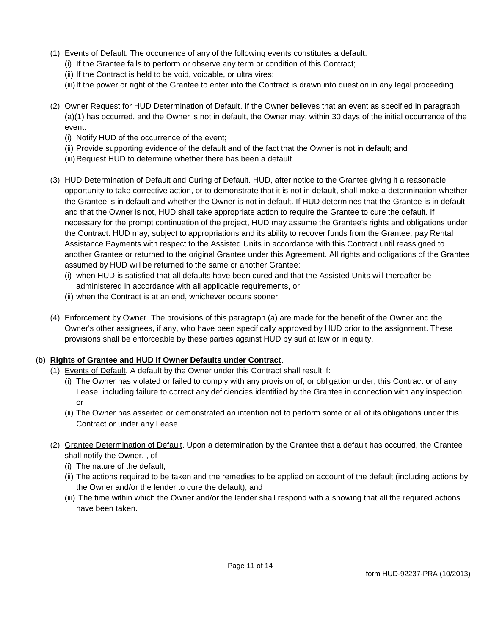- (1) Events of Default. The occurrence of any of the following events constitutes a default:
	- (i) If the Grantee fails to perform or observe any term or condition of this Contract;
	- (ii) If the Contract is held to be void, voidable, or ultra vires;
	- (iii) If the power or right of the Grantee to enter into the Contract is drawn into question in any legal proceeding.
- (2) Owner Request for HUD Determination of Default. If the Owner believes that an event as specified in paragraph (a)(1) has occurred, and the Owner is not in default, the Owner may, within 30 days of the initial occurrence of the event:
	- (i) Notify HUD of the occurrence of the event;
	- (ii) Provide supporting evidence of the default and of the fact that the Owner is not in default; and
	- (iii)Request HUD to determine whether there has been a default.
- (3) HUD Determination of Default and Curing of Default. HUD, after notice to the Grantee giving it a reasonable opportunity to take corrective action, or to demonstrate that it is not in default, shall make a determination whether the Grantee is in default and whether the Owner is not in default. If HUD determines that the Grantee is in default and that the Owner is not, HUD shall take appropriate action to require the Grantee to cure the default. If necessary for the prompt continuation of the project, HUD may assume the Grantee's rights and obligations under the Contract. HUD may, subject to appropriations and its ability to recover funds from the Grantee, pay Rental Assistance Payments with respect to the Assisted Units in accordance with this Contract until reassigned to another Grantee or returned to the original Grantee under this Agreement. All rights and obligations of the Grantee assumed by HUD will be returned to the same or another Grantee:
	- (i) when HUD is satisfied that all defaults have been cured and that the Assisted Units will thereafter be administered in accordance with all applicable requirements, or
	- (ii) when the Contract is at an end, whichever occurs sooner.
- (4) Enforcement by Owner. The provisions of this paragraph (a) are made for the benefit of the Owner and the Owner's other assignees, if any, who have been specifically approved by HUD prior to the assignment. These provisions shall be enforceable by these parties against HUD by suit at law or in equity.

## (b) **Rights of Grantee and HUD if Owner Defaults under Contract**.

- (1) Events of Default. A default by the Owner under this Contract shall result if:
	- (i) The Owner has violated or failed to comply with any provision of, or obligation under, this Contract or of any Lease, including failure to correct any deficiencies identified by the Grantee in connection with any inspection; or
	- (ii) The Owner has asserted or demonstrated an intention not to perform some or all of its obligations under this Contract or under any Lease.
- (2) Grantee Determination of Default. Upon a determination by the Grantee that a default has occurred, the Grantee shall notify the Owner, , of
	- (i) The nature of the default,
	- (ii) The actions required to be taken and the remedies to be applied on account of the default (including actions by the Owner and/or the lender to cure the default), and
	- (iii) The time within which the Owner and/or the lender shall respond with a showing that all the required actions have been taken.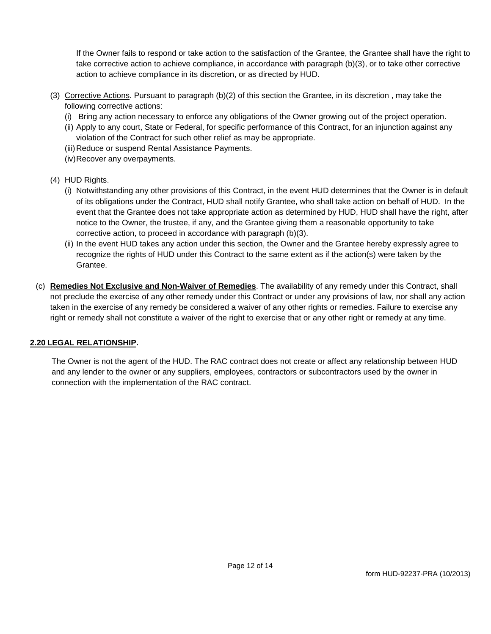If the Owner fails to respond or take action to the satisfaction of the Grantee, the Grantee shall have the right to take corrective action to achieve compliance, in accordance with paragraph (b)(3), or to take other corrective action to achieve compliance in its discretion, or as directed by HUD.

- (3) Corrective Actions. Pursuant to paragraph (b)(2) of this section the Grantee, in its discretion , may take the following corrective actions:
	- (i) Bring any action necessary to enforce any obligations of the Owner growing out of the project operation.
	- (ii) Apply to any court, State or Federal, for specific performance of this Contract, for an injunction against any violation of the Contract for such other relief as may be appropriate.
	- (iii)Reduce or suspend Rental Assistance Payments.
	- (iv)Recover any overpayments.
- (4) HUD Rights.
	- (i) Notwithstanding any other provisions of this Contract, in the event HUD determines that the Owner is in default of its obligations under the Contract, HUD shall notify Grantee, who shall take action on behalf of HUD. In the event that the Grantee does not take appropriate action as determined by HUD, HUD shall have the right, after notice to the Owner, the trustee, if any, and the Grantee giving them a reasonable opportunity to take corrective action, to proceed in accordance with paragraph (b)(3).
	- (ii) In the event HUD takes any action under this section, the Owner and the Grantee hereby expressly agree to recognize the rights of HUD under this Contract to the same extent as if the action(s) were taken by the Grantee.
- (c) **Remedies Not Exclusive and Non-Waiver of Remedies**. The availability of any remedy under this Contract, shall not preclude the exercise of any other remedy under this Contract or under any provisions of law, nor shall any action taken in the exercise of any remedy be considered a waiver of any other rights or remedies. Failure to exercise any right or remedy shall not constitute a waiver of the right to exercise that or any other right or remedy at any time.

#### **2.20 LEGAL RELATIONSHIP.**

The Owner is not the agent of the HUD. The RAC contract does not create or affect any relationship between HUD and any lender to the owner or any suppliers, employees, contractors or subcontractors used by the owner in connection with the implementation of the RAC contract.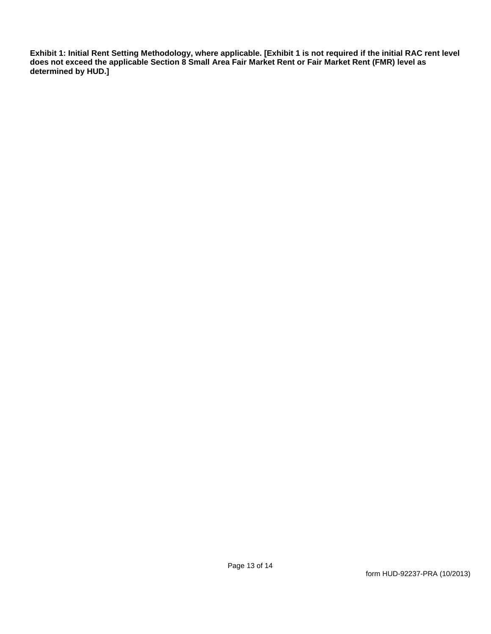**Exhibit 1: Initial Rent Setting Methodology, where applicable. [Exhibit 1 is not required if the initial RAC rent level does not exceed the applicable Section 8 Small Area Fair Market Rent or Fair Market Rent (FMR) level as determined by HUD.]**